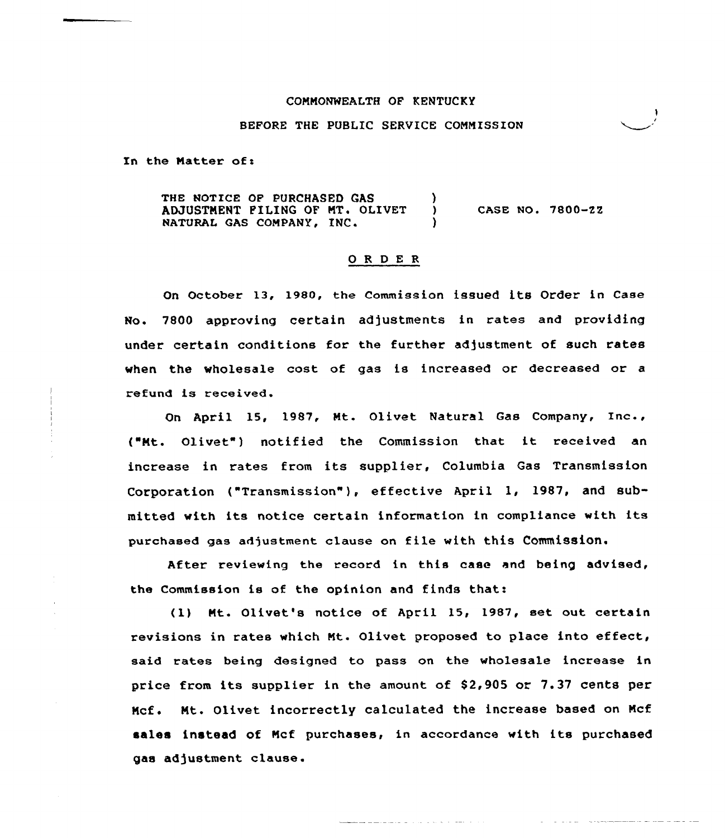### COMMONWEALTH OF KENTUCKY

### BEFORE THE PUBLIC SERVICE CONNISSION

In the Matter of:

THE NOTICE OF PURCHASED GAS (3) ADJUSTMENT PILING OF MT. OLIVET NATURAL GAS COMPANY, INC. CASE NO. 7800-22

## ORDER

On October 13, 1980, the Commission issued its Order in Case No. 7800 approving certain adjustments in rates and providing under certain conditions for the further adjustment of such rates when the wholesale cost of gas is increased or decreased or a refund is received.

On April 15, 1987, Mt. Olivet Natural Gas Company, Inc., {"Mt. Olivet") notified the Commission that it received an increase in rates from its supplier, Columbia Gas Transmission Corporation {"Transmission"), effective April l, 1987, and submitted with its notice certain information in compliance with its purchased gas adjustment clause on file with this Commission.

After reviewing the record in this case and being advised, the Commission is of the opinion and finds that:

{1) Mt. Olivet's notice of April 15, 1987, set out certain revisions in rates which Mt. Olivet proposed to place into effect, said rates being designed to pass on the wholesale increase in price from its supplier in the amount of \$2,905 or 7.37 cents per Mcf. Mt. Olivet incorrectly calculated the increase based on Mcf sales instead of Mcf purchases, in accordance with its purchased gas adjustment clause.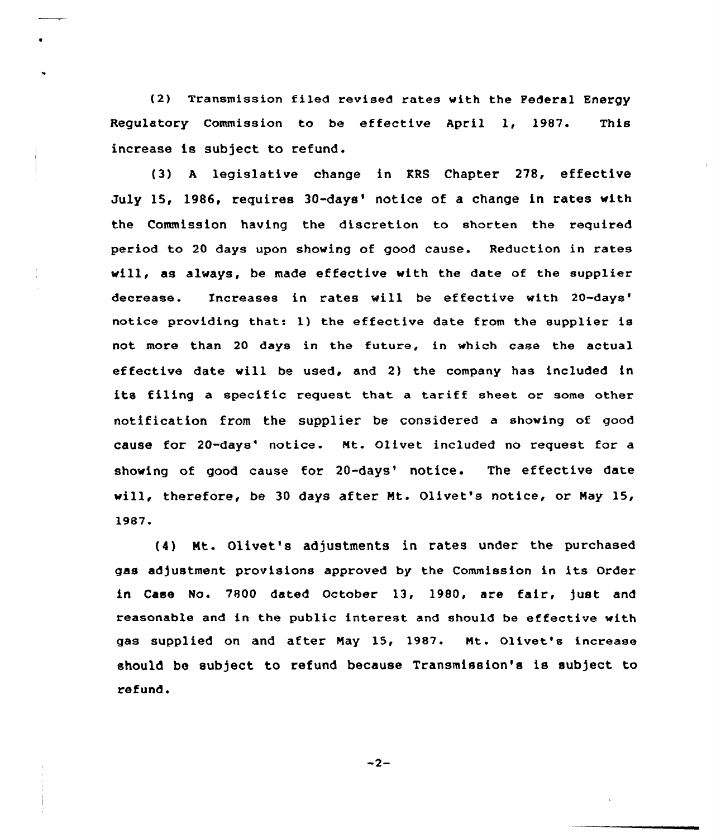{2) Transmission filed revised rates with the Federal Energy Regulatory Commission to be effective April 1, 1987. This increase is subject to refund.

{3) <sup>A</sup> legislative change in KRS Chapter 278, effective July 15, 1986, requires 30-days' notice of a change in rates with the Commission having the discretion to shorten the required period to 20 days upon showing of good cause. Reduction in rates will, as always, be made effective with the date of the supplier decrease. Increases in rates will be effective with notice providing that: 1) the effective date from the supplier is not more than 20 days in the future, in which case the actual effective date will be used, and 2) the company has included in its filing a specific request that a tariff sheet or some other notification from the supplier be considered a showing of good cause for 20-days' notice. Mt. Olivet included no request for a showing of good cause for 20-days' notice. The effective date will, therefore, be 30 days after Nt. Olivet's notice, or Nay 15, 1987.

(4} Nt. Olivet's adjustments in rates under the purchased gas adjustment provisions approved by the Commission in its Order in Case No. 7800 dated October 13, 1980, are fair, just and reasonable and in the public interest and should be effective with gas supplied on and after Nay 15, 1987. Nt. Olivet's increase should be subject to refund because Transmission's is subject to refund.

 $-2-$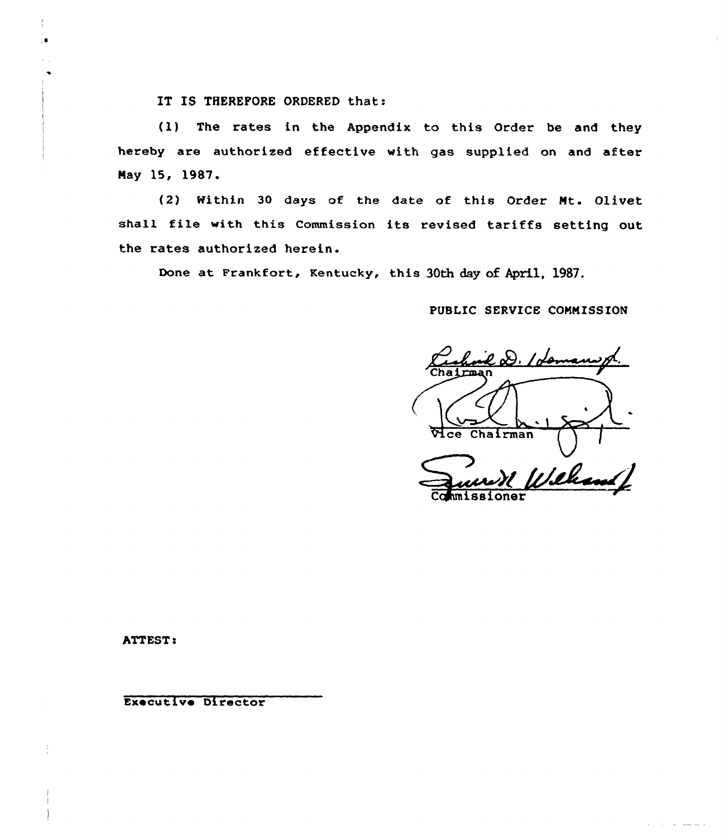IT IS THEREFORE ORDERED that:

(1) The rates in the Appendix to this Order be and they hereby are authorized effective with gas supplied on and after Nay 15, 1987

'2) Within 30 days of the date of this Order Nt. Olivet shall file with this Commission its revised tariffs setting out the rates authorized herein.

Done at Frankfort, Kentucky, this 30th day of April, 1987.

PUBLIC SERVICE COMMISSION

 $\varphi_{\alpha}$ D. Iden Mce Chairman  $\mathcal{W}$ 

Commissioner

ATTEST:

Executive Director